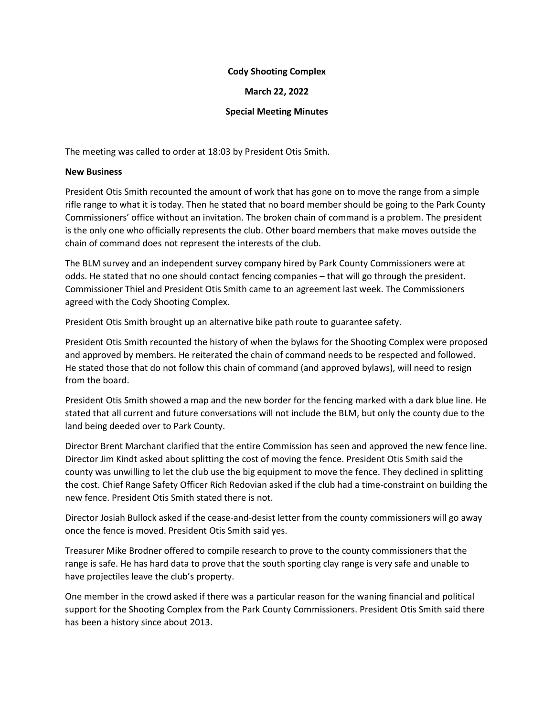## **Cody Shooting Complex**

## **March 22, 2022**

## **Special Meeting Minutes**

The meeting was called to order at 18:03 by President Otis Smith.

## **New Business**

President Otis Smith recounted the amount of work that has gone on to move the range from a simple rifle range to what it is today. Then he stated that no board member should be going to the Park County Commissioners' office without an invitation. The broken chain of command is a problem. The president is the only one who officially represents the club. Other board members that make moves outside the chain of command does not represent the interests of the club.

The BLM survey and an independent survey company hired by Park County Commissioners were at odds. He stated that no one should contact fencing companies – that will go through the president. Commissioner Thiel and President Otis Smith came to an agreement last week. The Commissioners agreed with the Cody Shooting Complex.

President Otis Smith brought up an alternative bike path route to guarantee safety.

President Otis Smith recounted the history of when the bylaws for the Shooting Complex were proposed and approved by members. He reiterated the chain of command needs to be respected and followed. He stated those that do not follow this chain of command (and approved bylaws), will need to resign from the board.

President Otis Smith showed a map and the new border for the fencing marked with a dark blue line. He stated that all current and future conversations will not include the BLM, but only the county due to the land being deeded over to Park County.

Director Brent Marchant clarified that the entire Commission has seen and approved the new fence line. Director Jim Kindt asked about splitting the cost of moving the fence. President Otis Smith said the county was unwilling to let the club use the big equipment to move the fence. They declined in splitting the cost. Chief Range Safety Officer Rich Redovian asked if the club had a time-constraint on building the new fence. President Otis Smith stated there is not.

Director Josiah Bullock asked if the cease-and-desist letter from the county commissioners will go away once the fence is moved. President Otis Smith said yes.

Treasurer Mike Brodner offered to compile research to prove to the county commissioners that the range is safe. He has hard data to prove that the south sporting clay range is very safe and unable to have projectiles leave the club's property.

One member in the crowd asked if there was a particular reason for the waning financial and political support for the Shooting Complex from the Park County Commissioners. President Otis Smith said there has been a history since about 2013.